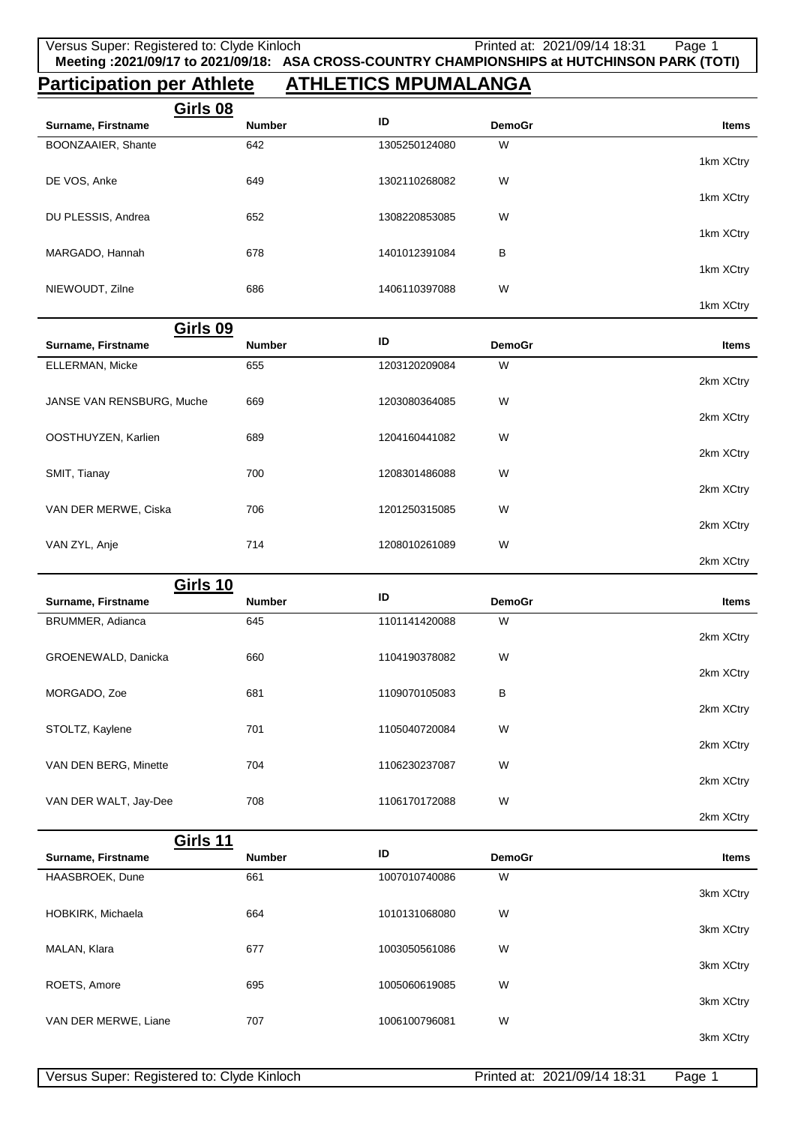## **Participation per Athlete ATHLETICS MPUMALANGA**

| Girls 08                               |               |               |               |           |
|----------------------------------------|---------------|---------------|---------------|-----------|
| Surname, Firstname                     | <b>Number</b> | ID            | <b>DemoGr</b> | Items     |
| BOONZAAIER, Shante                     | 642           | 1305250124080 | W             | 1km XCtry |
| DE VOS, Anke                           | 649           | 1302110268082 | W             |           |
| DU PLESSIS, Andrea                     | 652           | 1308220853085 | W             | 1km XCtry |
| MARGADO, Hannah                        | 678           | 1401012391084 | В             | 1km XCtry |
|                                        |               |               |               | 1km XCtry |
| NIEWOUDT, Zilne                        | 686           | 1406110397088 | W             | 1km XCtry |
| Girls 09                               |               |               |               |           |
| Surname, Firstname                     | <b>Number</b> | ID            | <b>DemoGr</b> | Items     |
| ELLERMAN, Micke                        | 655           | 1203120209084 | W             | 2km XCtry |
| JANSE VAN RENSBURG, Muche              | 669           | 1203080364085 | W             |           |
|                                        |               |               |               | 2km XCtry |
| OOSTHUYZEN, Karlien                    | 689           | 1204160441082 | W             | 2km XCtry |
| SMIT, Tianay                           | 700           | 1208301486088 | W             | 2km XCtry |
| VAN DER MERWE, Ciska                   | 706           | 1201250315085 | W             |           |
| VAN ZYL, Anje                          | 714           | 1208010261089 | W             | 2km XCtry |
|                                        |               |               |               | 2km XCtry |
| <b>Girls 10</b>                        | <b>Number</b> | ID            | <b>DemoGr</b> | Items     |
| Surname, Firstname<br>BRUMMER, Adianca | 645           | 1101141420088 | W             |           |
|                                        |               |               |               | 2km XCtry |
| GROENEWALD, Danicka                    | 660           | 1104190378082 | W             | 2km XCtry |
| MORGADO, Zoe                           | 681           | 1109070105083 | В             |           |
| STOLTZ, Kaylene                        | 701           | 1105040720084 | W             | 2km XCtry |
|                                        |               |               |               | 2km XCtry |
| VAN DEN BERG, Minette                  | 704           | 1106230237087 | W             | 2km XCtry |
| VAN DER WALT, Jay-Dee                  | 708           | 1106170172088 | W             |           |
|                                        |               |               |               | 2km XCtry |
| Girls 11                               |               |               |               |           |

| UIIU II              |               |               |               |              |
|----------------------|---------------|---------------|---------------|--------------|
| Surname, Firstname   | <b>Number</b> | ID            | <b>DemoGr</b> | <b>Items</b> |
| HAASBROEK, Dune      | 661           | 1007010740086 | W             |              |
|                      |               |               |               | 3km XCtry    |
| HOBKIRK, Michaela    | 664           | 1010131068080 | W             |              |
|                      |               |               |               | 3km XCtry    |
| MALAN, Klara         | 677           | 1003050561086 | W             |              |
|                      |               |               |               | 3km XCtry    |
| ROETS, Amore         | 695           | 1005060619085 | W             |              |
|                      |               |               |               | 3km XCtry    |
| VAN DER MERWE, Liane | 707           | 1006100796081 | W             |              |
|                      |               |               |               | 3km XCtry    |

| Versus Super: Registered to: Clyde Kinloch |  |
|--------------------------------------------|--|
|                                            |  |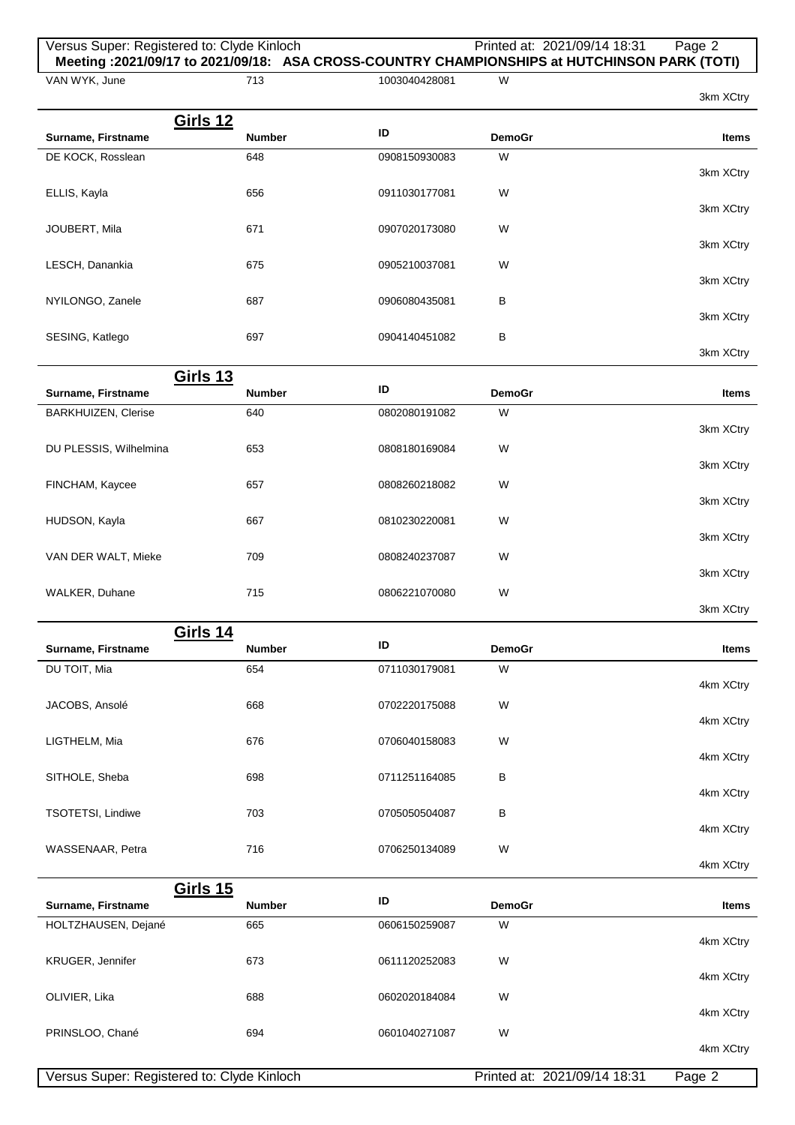| Versus Super: Registered to: Clyde Kinloch<br>Meeting: 2021/09/17 to 2021/09/18: ASA CROSS-COUNTRY CHAMPIONSHIPS at HUTCHINSON PARK (TOTI) |               |               | Printed at: 2021/09/14 18:31 | Page 2       |
|--------------------------------------------------------------------------------------------------------------------------------------------|---------------|---------------|------------------------------|--------------|
| VAN WYK, June                                                                                                                              | 713           | 1003040428081 | W                            | 3km XCtry    |
| <b>Girls 12</b>                                                                                                                            |               |               |                              |              |
| Surname, Firstname                                                                                                                         | <b>Number</b> | ID            | <b>DemoGr</b>                | <b>Items</b> |
| DE KOCK, Rosslean                                                                                                                          | 648           | 0908150930083 | W                            |              |
| ELLIS, Kayla                                                                                                                               | 656           | 0911030177081 | W                            | 3km XCtry    |
|                                                                                                                                            |               |               |                              | 3km XCtry    |
| JOUBERT, Mila                                                                                                                              | 671           | 0907020173080 | W                            |              |
|                                                                                                                                            |               |               |                              | 3km XCtry    |
| LESCH, Danankia                                                                                                                            | 675           | 0905210037081 | W                            |              |
| NYILONGO, Zanele                                                                                                                           | 687           | 0906080435081 | в                            | 3km XCtry    |
|                                                                                                                                            |               |               |                              | 3km XCtry    |
| SESING, Katlego                                                                                                                            | 697           | 0904140451082 | в                            |              |
|                                                                                                                                            |               |               |                              | 3km XCtry    |
| <b>Girls 13</b>                                                                                                                            |               | ID            |                              |              |
| Surname, Firstname<br><b>BARKHUIZEN, Clerise</b>                                                                                           | Number<br>640 | 0802080191082 | <b>DemoGr</b><br>W           | <b>Items</b> |
|                                                                                                                                            |               |               |                              | 3km XCtry    |
| DU PLESSIS, Wilhelmina                                                                                                                     | 653           | 0808180169084 | W                            |              |
|                                                                                                                                            |               |               |                              | 3km XCtry    |
| FINCHAM, Kaycee                                                                                                                            | 657           | 0808260218082 | W                            |              |
| HUDSON, Kayla                                                                                                                              | 667           | 0810230220081 | W                            | 3km XCtry    |
|                                                                                                                                            |               |               |                              | 3km XCtry    |
| VAN DER WALT, Mieke                                                                                                                        | 709           | 0808240237087 | W                            |              |
|                                                                                                                                            |               |               |                              | 3km XCtry    |
| WALKER, Duhane                                                                                                                             | 715           | 0806221070080 | W                            | 3km XCtry    |
|                                                                                                                                            |               |               |                              |              |
| <u>Girls 14</u><br>Surname, Firstname                                                                                                      | <b>Number</b> | ID            | <b>DemoGr</b>                | <b>Items</b> |
| DU TOIT, Mia                                                                                                                               | 654           | 0711030179081 | W                            |              |
|                                                                                                                                            |               |               |                              | 4km XCtry    |
| JACOBS, Ansolé                                                                                                                             | 668           | 0702220175088 | W                            |              |
| LIGTHELM, Mia                                                                                                                              | 676           | 0706040158083 | W                            | 4km XCtry    |
|                                                                                                                                            |               |               |                              | 4km XCtry    |
| SITHOLE, Sheba                                                                                                                             | 698           | 0711251164085 | B                            |              |
|                                                                                                                                            |               |               |                              | 4km XCtry    |
| TSOTETSI, Lindiwe                                                                                                                          | 703           | 0705050504087 | В                            | 4km XCtry    |
| WASSENAAR, Petra                                                                                                                           | 716           | 0706250134089 | W                            |              |
|                                                                                                                                            |               |               |                              | 4km XCtry    |
| <b>Girls 15</b>                                                                                                                            |               |               |                              |              |
| Surname, Firstname                                                                                                                         | Number        | ID            | <b>DemoGr</b>                | <b>Items</b> |
| HOLTZHAUSEN, Dejané                                                                                                                        | 665           | 0606150259087 | W                            |              |
| KRUGER, Jennifer                                                                                                                           | 673           | 0611120252083 | W                            | 4km XCtry    |
|                                                                                                                                            |               |               |                              | 4km XCtry    |
| OLIVIER, Lika                                                                                                                              | 688           | 0602020184084 | W                            |              |
|                                                                                                                                            |               |               |                              | 4km XCtry    |
| PRINSLOO, Chané                                                                                                                            | 694           | 0601040271087 | W                            |              |

4km XCtry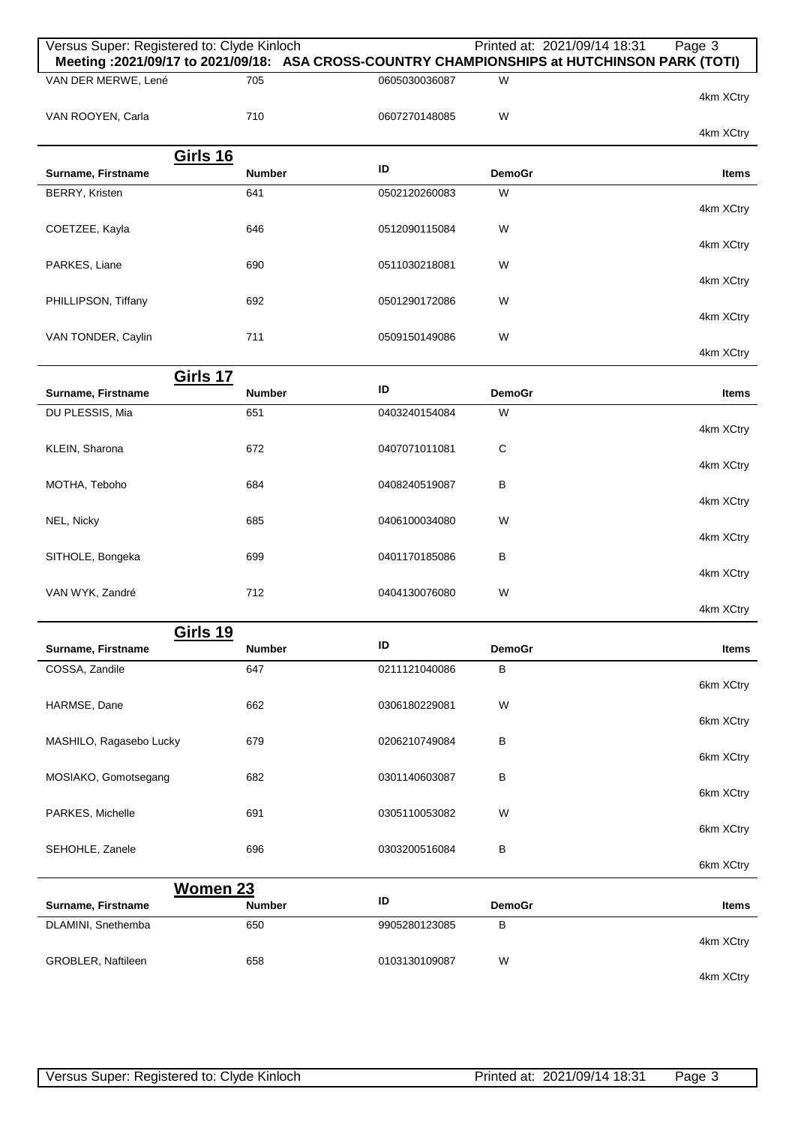| Versus Super: Registered to: Clyde Kinloch |               |               | Printed at: 2021/09/14 18:31 | Page 3<br>Meeting :2021/09/17 to 2021/09/18: ASA CROSS-COUNTRY CHAMPIONSHIPS at HUTCHINSON PARK (TOTI) |
|--------------------------------------------|---------------|---------------|------------------------------|--------------------------------------------------------------------------------------------------------|
| VAN DER MERWE, Lené                        | 705           | 0605030036087 | W                            | 4km XCtry                                                                                              |
| VAN ROOYEN, Carla                          | 710           | 0607270148085 | W                            | 4km XCtry                                                                                              |
| <b>Girls 16</b>                            |               |               |                              |                                                                                                        |
| Surname, Firstname                         | <b>Number</b> | ID            | <b>DemoGr</b>                | Items                                                                                                  |
| BERRY, Kristen                             | 641           | 0502120260083 | W                            | 4km XCtry                                                                                              |
| COETZEE, Kayla                             | 646           | 0512090115084 | W                            | 4km XCtry                                                                                              |
| PARKES, Liane                              | 690           | 0511030218081 | W                            |                                                                                                        |
| PHILLIPSON, Tiffany                        | 692           | 0501290172086 | W                            | 4km XCtry                                                                                              |
| VAN TONDER, Caylin                         | 711           | 0509150149086 | W                            | 4km XCtry                                                                                              |
|                                            |               |               |                              | 4km XCtry                                                                                              |
| Girls 17                                   |               |               |                              |                                                                                                        |
| Surname, Firstname                         | <b>Number</b> | ID            | <b>DemoGr</b>                | Items                                                                                                  |
| DU PLESSIS, Mia                            | 651           | 0403240154084 | W                            | 4km XCtry                                                                                              |
| KLEIN, Sharona                             | 672           | 0407071011081 | C                            | 4km XCtry                                                                                              |
| MOTHA, Teboho                              | 684           | 0408240519087 | B                            |                                                                                                        |
| NEL, Nicky                                 | 685           | 0406100034080 | W                            | 4km XCtry                                                                                              |
|                                            |               |               |                              | 4km XCtry                                                                                              |
| SITHOLE, Bongeka                           | 699           | 0401170185086 | B                            | 4km XCtry                                                                                              |
| VAN WYK, Zandré                            | 712           | 0404130076080 | W                            | 4km XCtry                                                                                              |
|                                            |               |               |                              |                                                                                                        |
| <b>Girls 19</b><br>Surname, Firstname      | <b>Number</b> | ID            | <b>DemoGr</b>                | <b>Items</b>                                                                                           |
| COSSA, Zandile                             | 647           | 0211121040086 | B                            | 6km XCtry                                                                                              |
| HARMSE, Dane                               | 662           | 0306180229081 | W                            |                                                                                                        |
| MASHILO, Ragasebo Lucky                    | 679           | 0206210749084 | В                            | 6km XCtry                                                                                              |
|                                            |               |               |                              | 6km XCtry                                                                                              |
| MOSIAKO, Gomotsegang                       | 682           | 0301140603087 | B                            | 6km XCtry                                                                                              |
| PARKES, Michelle                           | 691           | 0305110053082 | W                            | 6km XCtry                                                                                              |
| SEHOHLE, Zanele                            | 696           | 0303200516084 | B                            | 6km XCtry                                                                                              |
| <b>Women 23</b>                            |               |               |                              |                                                                                                        |
| Surname, Firstname                         | <b>Number</b> | ID            | <b>DemoGr</b>                | Items                                                                                                  |
| DLAMINI, Snethemba                         | 650           | 9905280123085 | B                            | 4km XCtry                                                                                              |
| GROBLER, Naftileen                         | 658           | 0103130109087 | W                            | 4km XCtry                                                                                              |
|                                            |               |               |                              |                                                                                                        |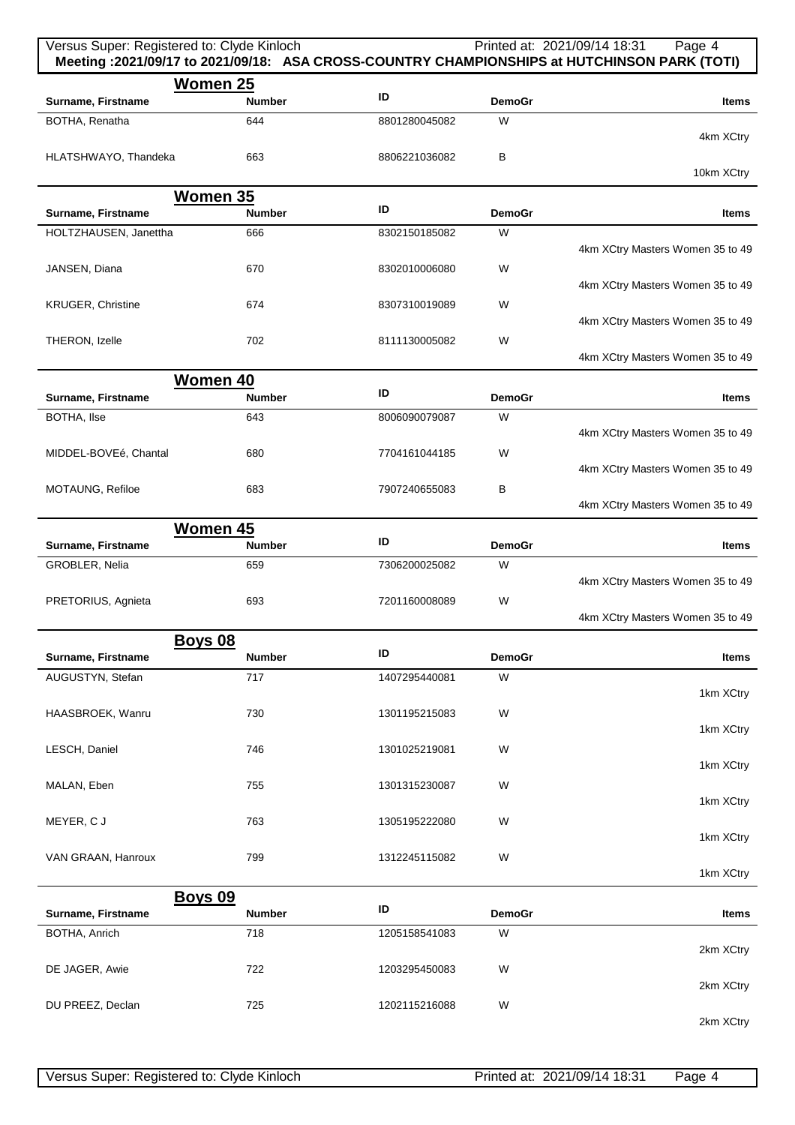| Versus Super: Registered to: Clyde Kinloch |                                 |               |               | Printed at: 2021/09/14 18:31<br>Page 4<br>Meeting :2021/09/17 to 2021/09/18: ASA CROSS-COUNTRY CHAMPIONSHIPS at HUTCHINSON PARK (TOTI) |
|--------------------------------------------|---------------------------------|---------------|---------------|----------------------------------------------------------------------------------------------------------------------------------------|
|                                            | Women 25                        | ID            |               |                                                                                                                                        |
| Surname, Firstname                         | <b>Number</b>                   |               | <b>DemoGr</b> | <b>Items</b>                                                                                                                           |
| BOTHA, Renatha                             | 644                             | 8801280045082 | W             | 4km XCtry                                                                                                                              |
| HLATSHWAYO, Thandeka                       | 663                             | 8806221036082 | B             |                                                                                                                                        |
|                                            |                                 |               |               | 10km XCtry                                                                                                                             |
|                                            | <b>Women 35</b>                 |               |               |                                                                                                                                        |
| Surname, Firstname                         | <b>Number</b>                   | ID            | <b>DemoGr</b> | <b>Items</b>                                                                                                                           |
| HOLTZHAUSEN, Janettha                      | 666                             | 8302150185082 | W             | 4km XCtry Masters Women 35 to 49                                                                                                       |
| JANSEN, Diana                              | 670                             | 8302010006080 | W             |                                                                                                                                        |
|                                            |                                 |               |               | 4km XCtry Masters Women 35 to 49                                                                                                       |
| <b>KRUGER, Christine</b>                   | 674                             | 8307310019089 | W             |                                                                                                                                        |
|                                            |                                 |               |               | 4km XCtry Masters Women 35 to 49                                                                                                       |
| THERON, Izelle                             | 702                             | 8111130005082 | W             |                                                                                                                                        |
|                                            |                                 |               |               | 4km XCtry Masters Women 35 to 49                                                                                                       |
|                                            | <b>Women 40</b>                 | ID            |               |                                                                                                                                        |
| Surname, Firstname                         | <b>Number</b>                   |               | <b>DemoGr</b> | <b>Items</b>                                                                                                                           |
| <b>BOTHA, Ilse</b>                         | 643                             | 8006090079087 | W             | 4km XCtry Masters Women 35 to 49                                                                                                       |
| MIDDEL-BOVEé, Chantal                      | 680                             | 7704161044185 | W             |                                                                                                                                        |
|                                            |                                 |               |               | 4km XCtry Masters Women 35 to 49                                                                                                       |
| MOTAUNG, Refiloe                           | 683                             | 7907240655083 | B             |                                                                                                                                        |
|                                            |                                 |               |               | 4km XCtry Masters Women 35 to 49                                                                                                       |
|                                            | <b>Women 45</b>                 |               |               |                                                                                                                                        |
| Surname, Firstname                         | <b>Number</b>                   | ID            | <b>DemoGr</b> | <b>Items</b>                                                                                                                           |
| GROBLER, Nelia                             | 659                             | 7306200025082 | W             |                                                                                                                                        |
|                                            |                                 |               |               | 4km XCtry Masters Women 35 to 49                                                                                                       |
| PRETORIUS, Agnieta                         | 693                             | 7201160008089 | W             | 4km XCtry Masters Women 35 to 49                                                                                                       |
|                                            | <b>Boys 08</b>                  |               |               |                                                                                                                                        |
| Surname, Firstname                         | <b>Number</b>                   | ID            | <b>DemoGr</b> | <b>Items</b>                                                                                                                           |
| AUGUSTYN, Stefan                           | 717                             | 1407295440081 | W             |                                                                                                                                        |
|                                            |                                 |               |               | 1km XCtry                                                                                                                              |
| HAASBROEK, Wanru                           | 730                             | 1301195215083 | W             |                                                                                                                                        |
|                                            |                                 |               |               | 1km XCtry                                                                                                                              |
| LESCH, Daniel                              | 746                             | 1301025219081 | W             | 1km XCtry                                                                                                                              |
| MALAN, Eben                                | 755                             | 1301315230087 | W             |                                                                                                                                        |
|                                            |                                 |               |               | 1km XCtry                                                                                                                              |
| MEYER, CJ                                  | 763                             | 1305195222080 | W             |                                                                                                                                        |
|                                            |                                 |               |               | 1km XCtry                                                                                                                              |
| VAN GRAAN, Hanroux                         | 799                             | 1312245115082 | W             |                                                                                                                                        |
|                                            |                                 |               |               | 1km XCtry                                                                                                                              |
| Surname, Firstname                         | <b>Boys 09</b><br><b>Number</b> | ID            | <b>DemoGr</b> | <b>Items</b>                                                                                                                           |
|                                            |                                 |               | W             |                                                                                                                                        |
| BOTHA, Anrich                              | 718                             | 1205158541083 |               | 2km XCtry                                                                                                                              |
| DE JAGER, Awie                             | 722                             | 1203295450083 | W             |                                                                                                                                        |
|                                            |                                 |               |               | 2km XCtry                                                                                                                              |
| DU PREEZ, Declan                           | 725                             | 1202115216088 | W             |                                                                                                                                        |
|                                            |                                 |               |               | 2km XCtry                                                                                                                              |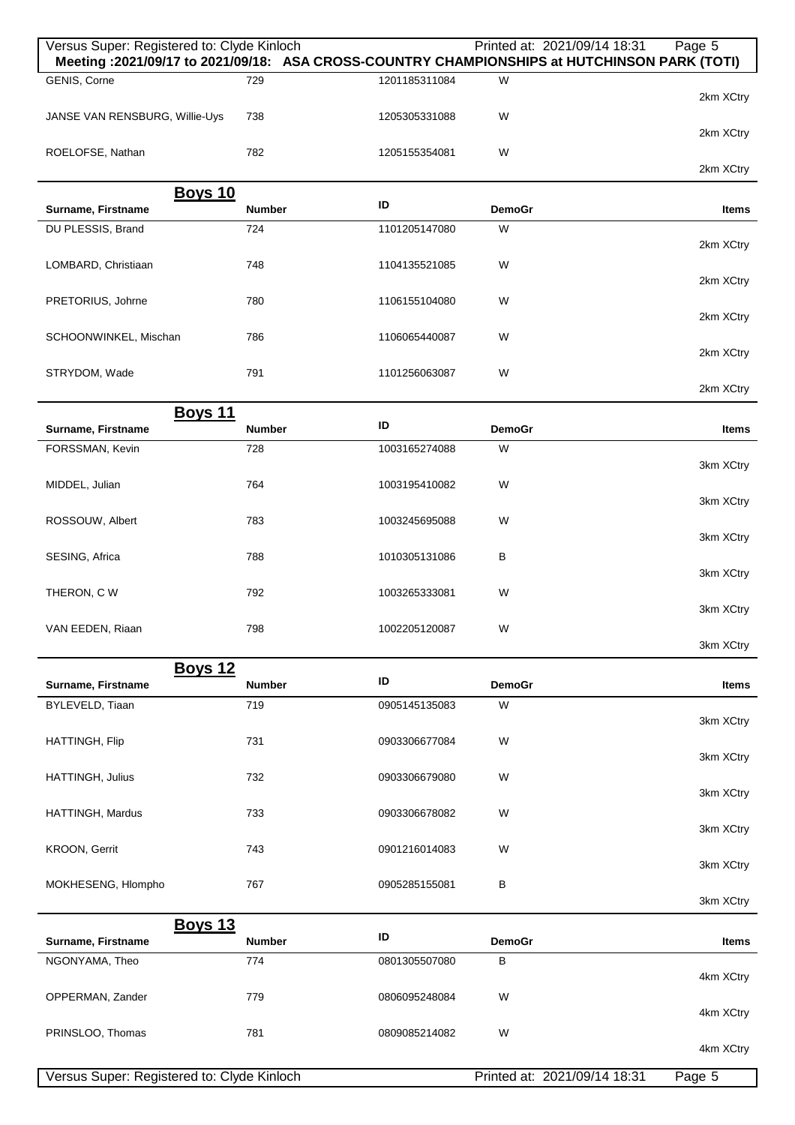| Versus Super: Registered to: Clyde Kinloch<br>Meeting: 2021/09/17 to 2021/09/18: ASA CROSS-COUNTRY CHAMPIONSHIPS at HUTCHINSON PARK (TOTI) |               |               | Printed at: 2021/09/14 18:31 | Page 5       |
|--------------------------------------------------------------------------------------------------------------------------------------------|---------------|---------------|------------------------------|--------------|
| GENIS, Corne                                                                                                                               | 729           | 1201185311084 | W                            |              |
|                                                                                                                                            |               |               |                              | 2km XCtry    |
| JANSE VAN RENSBURG, Willie-Uys                                                                                                             | 738           | 1205305331088 | W                            | 2km XCtry    |
| ROELOFSE, Nathan                                                                                                                           | 782           | 1205155354081 | W                            |              |
|                                                                                                                                            |               |               |                              | 2km XCtry    |
| <b>Boys 10</b><br>Surname, Firstname                                                                                                       | <b>Number</b> | ID            | <b>DemoGr</b>                | <b>Items</b> |
| DU PLESSIS, Brand                                                                                                                          | 724           | 1101205147080 | W                            | 2km XCtry    |
| LOMBARD, Christiaan                                                                                                                        | 748           | 1104135521085 | W                            |              |
|                                                                                                                                            |               |               |                              | 2km XCtry    |
| PRETORIUS, Johrne                                                                                                                          | 780           | 1106155104080 | W                            | 2km XCtry    |
| SCHOONWINKEL, Mischan                                                                                                                      | 786           | 1106065440087 | W                            |              |
| STRYDOM, Wade                                                                                                                              | 791           | 1101256063087 | W                            | 2km XCtry    |
|                                                                                                                                            |               |               |                              | 2km XCtry    |
| <b>Boys 11</b>                                                                                                                             |               |               |                              |              |
| Surname, Firstname                                                                                                                         | <b>Number</b> | ID            | <b>DemoGr</b>                | Items        |
| FORSSMAN, Kevin                                                                                                                            | 728           | 1003165274088 | W                            | 3km XCtry    |
| MIDDEL, Julian                                                                                                                             | 764           | 1003195410082 | W                            |              |
| ROSSOUW, Albert                                                                                                                            | 783           | 1003245695088 | W                            | 3km XCtry    |
|                                                                                                                                            |               |               |                              | 3km XCtry    |
| SESING, Africa                                                                                                                             | 788           | 1010305131086 | В                            | 3km XCtry    |
| THERON, C W                                                                                                                                | 792           | 1003265333081 | W                            |              |
|                                                                                                                                            |               |               |                              | 3km XCtry    |
| VAN EEDEN, Riaan                                                                                                                           | 798           | 1002205120087 | W                            | 3km XCtry    |
| <b>Boys 12</b>                                                                                                                             |               |               |                              |              |
| Surname, Firstname                                                                                                                         | <b>Number</b> | ID            | <b>DemoGr</b>                | Items        |
| BYLEVELD, Tiaan                                                                                                                            | 719           | 0905145135083 | W                            | 3km XCtry    |
| HATTINGH, Flip                                                                                                                             | 731           | 0903306677084 | W                            |              |
|                                                                                                                                            |               |               |                              | 3km XCtry    |
| HATTINGH, Julius                                                                                                                           | 732           | 0903306679080 | W                            | 3km XCtry    |
| HATTINGH, Mardus                                                                                                                           | 733           | 0903306678082 | W                            |              |
|                                                                                                                                            |               |               |                              | 3km XCtry    |
| KROON, Gerrit                                                                                                                              | 743           | 0901216014083 | W                            | 3km XCtry    |
| MOKHESENG, Hlompho                                                                                                                         | 767           | 0905285155081 | В                            |              |
|                                                                                                                                            |               |               |                              | 3km XCtry    |
| <b>Boys 13</b><br>Surname, Firstname                                                                                                       | <b>Number</b> | ID            | <b>DemoGr</b>                | <b>Items</b> |
| NGONYAMA, Theo                                                                                                                             | 774           | 0801305507080 | B                            |              |
| OPPERMAN, Zander                                                                                                                           | 779           | 0806095248084 | W                            | 4km XCtry    |
|                                                                                                                                            |               |               |                              | 4km XCtry    |
| PRINSLOO, Thomas                                                                                                                           | 781           | 0809085214082 | W                            |              |
|                                                                                                                                            |               |               |                              | 4km XCtry    |
| Versus Super: Registered to: Clyde Kinloch                                                                                                 |               |               | Printed at: 2021/09/14 18:31 | Page 5       |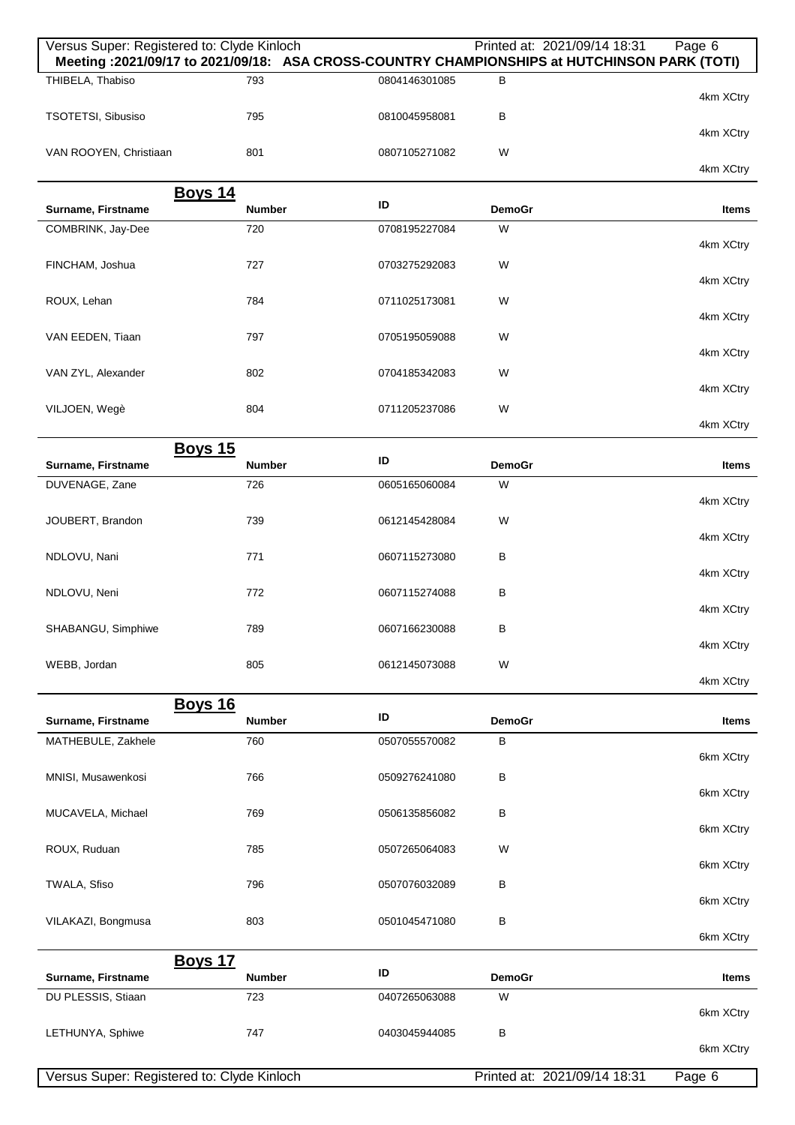| Versus Super: Registered to: Clyde Kinloch<br>Meeting : 2021/09/17 to 2021/09/18: ASA CROSS-COUNTRY CHAMPIONSHIPS at HUTCHINSON PARK (TOTI) |                                 |               | Printed at: 2021/09/14 18:31 | Page 6    |
|---------------------------------------------------------------------------------------------------------------------------------------------|---------------------------------|---------------|------------------------------|-----------|
| THIBELA, Thabiso                                                                                                                            | 793                             | 0804146301085 | B                            | 4km XCtry |
| TSOTETSI, Sibusiso                                                                                                                          | 795                             | 0810045958081 | B                            |           |
| VAN ROOYEN, Christiaan                                                                                                                      | 801                             | 0807105271082 | W                            | 4km XCtry |
|                                                                                                                                             |                                 |               |                              | 4km XCtry |
| Surname, Firstname                                                                                                                          | <b>Boys 14</b><br><b>Number</b> | ID            | <b>DemoGr</b>                | Items     |
| COMBRINK, Jay-Dee                                                                                                                           | 720                             | 0708195227084 | W                            | 4km XCtry |
| FINCHAM, Joshua                                                                                                                             | 727                             | 0703275292083 | W                            |           |
| ROUX, Lehan                                                                                                                                 | 784                             | 0711025173081 | W                            | 4km XCtry |
| VAN EEDEN, Tiaan                                                                                                                            | 797                             | 0705195059088 | W                            | 4km XCtry |
| VAN ZYL, Alexander                                                                                                                          | 802                             | 0704185342083 | W                            | 4km XCtry |
|                                                                                                                                             |                                 |               |                              | 4km XCtry |
| VILJOEN, Wegè                                                                                                                               | 804                             | 0711205237086 | W                            | 4km XCtry |
|                                                                                                                                             | <b>Boys 15</b>                  |               |                              |           |
| Surname, Firstname                                                                                                                          | <b>Number</b>                   | ID            | <b>DemoGr</b>                | Items     |
| DUVENAGE, Zane                                                                                                                              | 726                             | 0605165060084 | W                            | 4km XCtry |
| JOUBERT, Brandon                                                                                                                            | 739                             | 0612145428084 | W                            | 4km XCtry |
| NDLOVU, Nani                                                                                                                                | 771                             | 0607115273080 | В                            |           |
| NDLOVU, Neni                                                                                                                                | 772                             | 0607115274088 | B                            | 4km XCtry |
| SHABANGU, Simphiwe                                                                                                                          | 789                             | 0607166230088 | в                            | 4km XCtry |
|                                                                                                                                             |                                 |               |                              | 4km XCtry |
| WEBB, Jordan                                                                                                                                | 805                             | 0612145073088 | W                            | 4km XCtry |
|                                                                                                                                             | <b>Boys 16</b>                  | ID            |                              |           |
| Surname, Firstname                                                                                                                          | <b>Number</b>                   |               | <b>DemoGr</b>                | Items     |
| MATHEBULE, Zakhele                                                                                                                          | 760                             | 0507055570082 | В                            | 6km XCtry |
| MNISI, Musawenkosi                                                                                                                          | 766                             | 0509276241080 | B                            | 6km XCtry |
| MUCAVELA, Michael                                                                                                                           | 769                             | 0506135856082 | В                            |           |
| ROUX, Ruduan                                                                                                                                | 785                             | 0507265064083 | W                            | 6km XCtry |
| TWALA, Sfiso                                                                                                                                | 796                             | 0507076032089 | B                            | 6km XCtry |
|                                                                                                                                             |                                 |               |                              | 6km XCtry |
| VILAKAZI, Bongmusa                                                                                                                          | 803                             | 0501045471080 | B                            | 6km XCtry |
|                                                                                                                                             | <b>Boys 17</b>                  | ID            |                              |           |
| Surname, Firstname<br>DU PLESSIS, Stiaan                                                                                                    | <b>Number</b><br>723            | 0407265063088 | <b>DemoGr</b><br>W           | Items     |
|                                                                                                                                             |                                 |               |                              | 6km XCtry |
| LETHUNYA, Sphiwe                                                                                                                            | 747                             | 0403045944085 | B                            | 6km XCtry |
| Versus Super: Registered to: Clyde Kinloch                                                                                                  |                                 |               | Printed at: 2021/09/14 18:31 | Page 6    |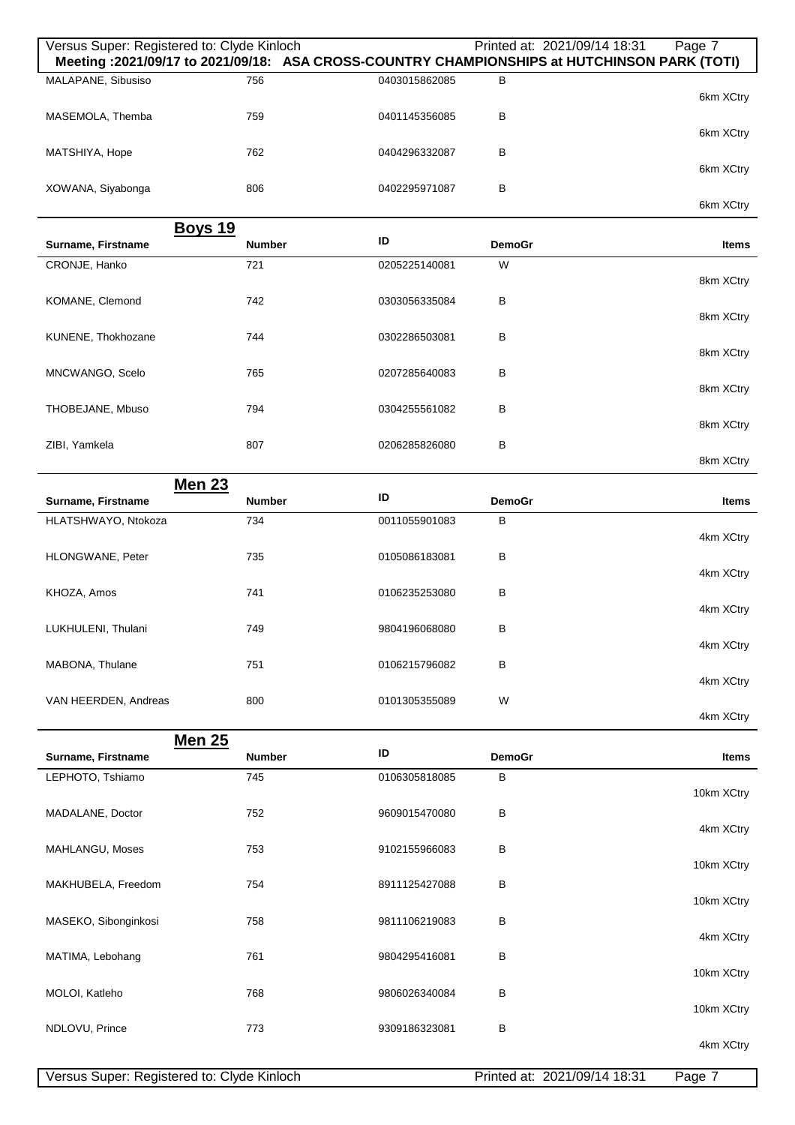| Versus Super: Registered to: Clyde Kinloch |                                |               |               | Printed at: 2021/09/14 18:31<br>Page 7<br>Meeting : 2021/09/17 to 2021/09/18: ASA CROSS-COUNTRY CHAMPIONSHIPS at HUTCHINSON PARK (TOTI) |
|--------------------------------------------|--------------------------------|---------------|---------------|-----------------------------------------------------------------------------------------------------------------------------------------|
|                                            |                                |               |               |                                                                                                                                         |
| MALAPANE, Sibusiso                         | 756                            | 0403015862085 | B             | 6km XCtry                                                                                                                               |
| MASEMOLA, Themba                           | 759                            | 0401145356085 | B             | 6km XCtry                                                                                                                               |
| MATSHIYA, Hope                             | 762                            | 0404296332087 | в             | 6km XCtry                                                                                                                               |
| XOWANA, Siyabonga                          | 806                            | 0402295971087 | B             |                                                                                                                                         |
|                                            |                                |               |               | 6km XCtry                                                                                                                               |
|                                            | <b>Boys 19</b>                 |               |               |                                                                                                                                         |
| Surname, Firstname                         | <b>Number</b>                  | ID            | <b>DemoGr</b> | Items                                                                                                                                   |
| CRONJE, Hanko                              | 721                            | 0205225140081 | W             | 8km XCtry                                                                                                                               |
| KOMANE, Clemond                            | 742                            | 0303056335084 | B             | 8km XCtry                                                                                                                               |
| KUNENE, Thokhozane                         | 744                            | 0302286503081 | в             |                                                                                                                                         |
|                                            |                                |               |               | 8km XCtry                                                                                                                               |
| MNCWANGO, Scelo                            | 765                            | 0207285640083 | B             | 8km XCtry                                                                                                                               |
| THOBEJANE, Mbuso                           | 794                            | 0304255561082 | В             | 8km XCtry                                                                                                                               |
| ZIBI, Yamkela                              | 807                            | 0206285826080 | B             | 8km XCtry                                                                                                                               |
|                                            | <b>Men 23</b>                  |               |               |                                                                                                                                         |
| Surname, Firstname                         | <b>Number</b>                  | ID            | <b>DemoGr</b> | Items                                                                                                                                   |
| HLATSHWAYO, Ntokoza                        | 734                            | 0011055901083 | В             |                                                                                                                                         |
|                                            |                                |               |               | 4km XCtry                                                                                                                               |
| HLONGWANE, Peter                           | 735                            | 0105086183081 | B             | 4km XCtry                                                                                                                               |
| KHOZA, Amos                                | 741                            | 0106235253080 | B             | 4km XCtry                                                                                                                               |
| LUKHULENI, Thulani                         | 749                            | 9804196068080 | B             | 4km XCtry                                                                                                                               |
| MABONA, Thulane                            | 751                            | 0106215796082 | В             | 4km XCtry                                                                                                                               |
| VAN HEERDEN, Andreas                       | 800                            | 0101305355089 | W             | 4km XCtry                                                                                                                               |
|                                            |                                |               |               |                                                                                                                                         |
| Surname, Firstname                         | <b>Men 25</b><br><b>Number</b> | ID            | <b>DemoGr</b> | Items                                                                                                                                   |
| LEPHOTO, Tshiamo                           | 745                            | 0106305818085 | В             | 10km XCtry                                                                                                                              |
| MADALANE, Doctor                           | 752                            | 9609015470080 | B             | 4km XCtry                                                                                                                               |
| MAHLANGU, Moses                            | 753                            | 9102155966083 | B             |                                                                                                                                         |
| MAKHUBELA, Freedom                         | 754                            | 8911125427088 | B             | 10km XCtry                                                                                                                              |
| MASEKO, Sibonginkosi                       | 758                            | 9811106219083 | B             | 10km XCtry                                                                                                                              |
| MATIMA, Lebohang                           | 761                            | 9804295416081 | B             | 4km XCtry                                                                                                                               |
| MOLOI, Katleho                             | 768                            | 9806026340084 | в             | 10km XCtry                                                                                                                              |
|                                            |                                |               |               | 10km XCtry                                                                                                                              |
| NDLOVU, Prince                             | 773                            | 9309186323081 | B             | 4km XCtry                                                                                                                               |